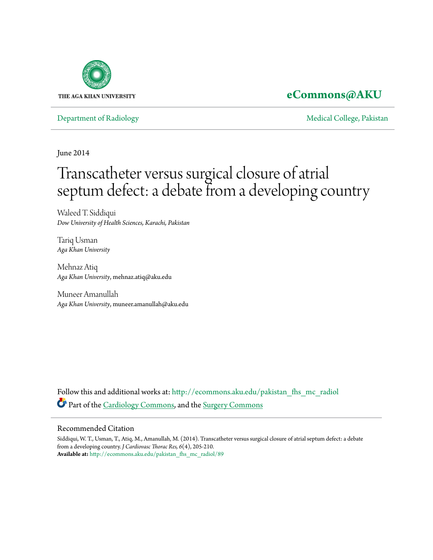

# **[eCommons@AKU](http://ecommons.aku.edu?utm_source=ecommons.aku.edu%2Fpakistan_fhs_mc_radiol%2F89&utm_medium=PDF&utm_campaign=PDFCoverPages)**

[Department of Radiology](http://ecommons.aku.edu/pakistan_fhs_mc_radiol?utm_source=ecommons.aku.edu%2Fpakistan_fhs_mc_radiol%2F89&utm_medium=PDF&utm_campaign=PDFCoverPages) **[Medical College, Pakistan](http://ecommons.aku.edu/pakistan_fhs_mc?utm_source=ecommons.aku.edu%2Fpakistan_fhs_mc_radiol%2F89&utm_medium=PDF&utm_campaign=PDFCoverPages)** 

June 2014

# Transcatheter versus surgical closure of atrial septum defect: a debate from a developing country

Waleed T. Siddiqui *Dow University of Health Sciences, Karachi, Pakistan*

Tariq Usman *Aga Khan University*

Mehnaz Atiq *Aga Khan University*, mehnaz.atiq@aku.edu

Muneer Amanullah *Aga Khan University*, muneer.amanullah@aku.edu

Follow this and additional works at: [http://ecommons.aku.edu/pakistan\\_fhs\\_mc\\_radiol](http://ecommons.aku.edu/pakistan_fhs_mc_radiol?utm_source=ecommons.aku.edu%2Fpakistan_fhs_mc_radiol%2F89&utm_medium=PDF&utm_campaign=PDFCoverPages) Part of the [Cardiology Commons](http://network.bepress.com/hgg/discipline/683?utm_source=ecommons.aku.edu%2Fpakistan_fhs_mc_radiol%2F89&utm_medium=PDF&utm_campaign=PDFCoverPages), and the [Surgery Commons](http://network.bepress.com/hgg/discipline/706?utm_source=ecommons.aku.edu%2Fpakistan_fhs_mc_radiol%2F89&utm_medium=PDF&utm_campaign=PDFCoverPages)

# Recommended Citation

Siddiqui, W. T., Usman, T., Atiq, M., Amanullah, M. (2014). Transcatheter versus surgical closure of atrial septum defect: a debate from a developing country. *J Cardiovasc Thorac Res, 6*(4), 205-210. **Available at:** [http://ecommons.aku.edu/pakistan\\_fhs\\_mc\\_radiol/89](http://ecommons.aku.edu/pakistan_fhs_mc_radiol/89)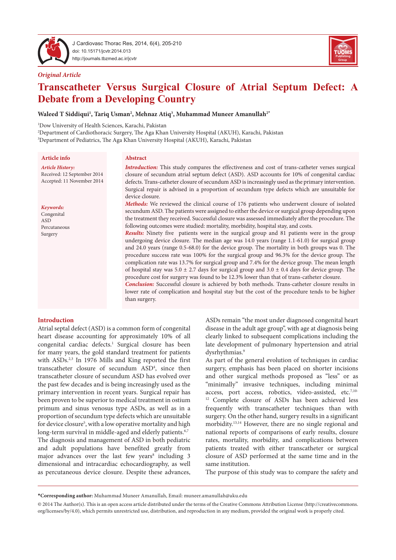

J Cardiovasc Thorac Res, 2014, 6(4), 205-210 doi: 10.15171/jcvtr.2014.013 http://journals.tbzmed.ac.ir/jcvtr



#### *Original Article*

# **Transcatheter Versus Surgical Closure of Atrial Septum Defect: A Debate from a Developing Country**

#### $\bold{W}$ aleed  $\bold{T}$  Siddiqui<sup>1</sup>, Tariq Usman<sup>2</sup>, Mehnaz Atiq<sup>3</sup>, Muhammad Muneer Amanullah $^{2^*}$

1 Dow University of Health Sciences, Karachi, Pakistan

2 Department of Cardiothoracic Surgery, The Aga Khan University Hospital (AKUH), Karachi, Pakistan 3 Department of Pediatrics, The Aga Khan University Hospital (AKUH), Karachi, Pakistan

#### **Article info**

#### *Article History:*

Received: 12 September 2014 Accepted: 11 November 2014

#### *Keywords:*

Congenital ASD Percutaneous Surgery

# **Abstract**

*Introduction:* This study compares the effectiveness and cost of trans-catheter verses surgical closure of secundum atrial septum defect (ASD). ASD accounts for 10% of congenital cardiac defects. Trans-catheter closure of secundum ASD is increasingly used as the primary intervention. Surgical repair is advised in a proportion of secundum type defects which are unsuitable for device closure.

*Methods:* We reviewed the clinical course of 176 patients who underwent closure of isolated secundum ASD. The patients were assigned to either the device or surgical group depending upon the treatment they received. Successful closure was assessed immediately after the procedure. The following outcomes were studied: mortality, morbidity, hospital stay, and costs.

*Results:* Ninety five patients were in the surgical group and 81 patients were in the group undergoing device closure. The median age was 14.0 years (range 1.1-61.0) for surgical group and 24.0 years (range 0.5-68.0) for the device group. The mortality in both groups was 0. The procedure success rate was 100% for the surgical group and 96.3% for the device group. The complication rate was 13.7% for surgical group and 7.4% for the device group. The mean length of hospital stay was  $5.0 \pm 2.7$  days for surgical group and  $3.0 \pm 0.4$  days for device group. The procedure cost for surgery was found to be 12.3% lower than that of trans-catheter closure.

*Conclusion:* Successful closure is achieved by both methods. Trans-catheter closure results in lower rate of complication and hospital stay but the cost of the procedure tends to be higher than surgery.

#### **Introduction**

Atrial septal defect (ASD) is a common form of congenital heart disease accounting for approximately 10% of all congenital cardiac defects.<sup>1</sup> Surgical closure has been for many years, the gold standard treatment for patients with ASDs.<sup>2,3</sup> In 1976 Mills and King reported the first transcatheter closure of secundum ASD4 , since then transcatheter closure of secundum ASD has evolved over the past few decades and is being increasingly used as the primary intervention in recent years. Surgical repair has been proven to be superior to medical treatment in ostium primum and sinus venosus type ASDs, as well as in a proportion of secundum type defects which are unsuitable for device closure<sup>5</sup>, with a low operative mortality and high long-term survival in middle-aged and elderly patients.<sup>6,7</sup>

The diagnosis and management of ASD in both pediatric and adult populations have benefited greatly from major advances over the last few years<sup>8</sup> including 3 dimensional and intracardiac echocardiography, as well as percutaneous device closure. Despite these advances, ASDs remain "the most under diagnosed congenital heart disease in the adult age group", with age at diagnosis being clearly linked to subsequent complications including the late development of pulmonary hypertension and atrial dysrhythmias.<sup>9</sup>

As part of the general evolution of techniques in cardiac surgery, emphasis has been placed on shorter incisions and other surgical methods proposed as "less" or as "minimally" invasive techniques, including minimal access, port access, robotics, video-assisted, etc.<sup>7,10-</sup> <sup>12</sup> Complete closure of ASDs has been achieved less frequently with transcatheter techniques than with surgery. On the other hand, surgery results in a significant morbidity.13,14 However, there are no single regional and national reports of comparisons of early results, closure rates, mortality, morbidity, and complications between patients treated with either transcatheter or surgical closure of ASD performed at the same time and in the same institution.

The purpose of this study was to compare the safety and

**<sup>\*</sup>Corresponding author:** Muhammad Muneer Amanullah, Email: muneer.amanullah@aku.edu

<sup>© 2014</sup> The Author(s). This is an open access article distributed under the terms of the Creative Commons Attribution License (http://creativecommons. org/licenses/by/4.0), which permits unrestricted use, distribution, and reproduction in any medium, provided the original work is properly cited.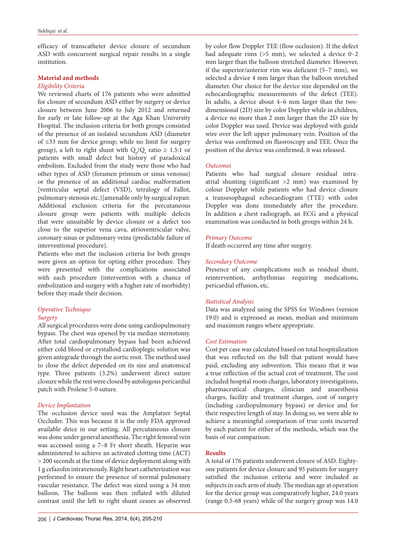efficacy of transcatheter device closure of secundum ASD with concurrent surgical repair results in a single institution.

### **Material and methods**

# *Eligibility Criteria*

We reviewed charts of 176 patients who were admitted for closure of secundum ASD either by surgery or device closure between June 2006 to July 2012 and returned for early or late follow-up at the Aga Khan University Hospital. The inclusion criteria for both groups consisted of the presence of an isolated secundum ASD (diameter of ≤33 mm for device group; while no limit for surgery group), a left to right shunt with  $Q_p/Q_s$  ratio  $\geq 1.5:1$  or patients with small defect but history of paradoxical embolism. Excluded from the study were those who had other types of ASD (foramen primum or sinus venosus) or the presence of an additional cardiac malformation [ventricular septal defect (VSD), tetralogy of Fallot, pulmonary stenosis etc.)]amenable only by surgical repair. Additional exclusion criteria for the percutaneous closure group were patients with multiple defects that were unsuitable by device closure or a defect too close to the superior vena cava, atrioventricular valve, coronary sinus or pulmonary veins (predictable failure of interventional procedure).

Patients who met the inclusion criteria for both groups were given an option for opting either procedure. They were presented with the complications associated with each procedure (intervention with a chance of embolization and surgery with a higher rate of morbidity) before they made their decision.

# *Operative Technique*

# *Surgery*

All surgical procedures were done using cardiopulmonary bypass. The chest was opened by via median sternotomy. After total cardiopulmonary bypass had been achieved either cold blood or crystalloid cardioplegic solution was given antegrade through the aortic root. The method used to close the defect depended on its size and anatomical type. Three patients (3.2%) underwent direct suture closure while the rest were closed by autologous pericardial patch with Prolene 5-0 suture.

#### *Device Implantation*

The occlusion device used was the Amplatzer Septal Occluder. This was because it is the only FDA approved available deice in our setting. All percutaneous closure was done under general anesthesia. The right femoral vein was accessed using a 7–8 Fr short sheath. Heparin was administered to achieve an activated clotting time (ACT) > 200 seconds at the time of device deployment along with 1 g cefazolin intravenously. Right heart catheterization was performed to ensure the presence of normal pulmonary vascular resistance. The defect was sized using a 34 mm balloon. The balloon was then inflated with diluted contrast until the left to right shunt ceases as observed

by color flow Doppler TEE (flow occlusion). If the defect had adequate rims (>5 mm), we selected a device 0–2 mm larger than the balloon stretched diameter. However, if the superior/anterior rim was deficient (5–7 mm), we selected a device 4 mm larger than the balloon stretched diameter. Our choice for the device size depended on the echocardiographic measurements of the defect (TEE). In adults, a device about 4–6 mm larger than the twodimensional (2D) size by color Doppler while in children, a device no more than 2 mm larger than the 2D size by color Doppler was used. Device was deployed with guide wire over the left upper pulmonary vein. Position of the device was confirmed on fluoroscopy and TEE. Once the position of the device was confirmed, it was released.

#### *Outcomes*

Patients who had surgical closure residual intraatrial shunting (significant >2 mm) was examined by colour Doppler while patients who had device closure a transesophageal echocardiogram (TTE) with color Doppler was done immediately after the procedure. In addition a chest radiograph, an ECG and a physical examination was conducted in both groups within 24 h.

#### *Primary Outcome*

If death occurred any time after surgery.

#### *Secondary Outcome*

Presence of any complications such as residual shunt, reintervention, arrhythmias requiring medications, pericardial effusion, etc.

# *Statistical Analysis*

Data was analyzed using the SPSS for Windows (version 19.0) and is expressed as mean, median and minimum and maximum ranges where appropriate.

#### *Cost Estimation*

Cost per case was calculated based on total hospitalization that was reflected on the bill that patient would have paid, excluding any subvention. This means that it was a true reflection of the actual cost of treatment. The cost included hospital room charges, laboratory investigations, pharmaceutical charges, clinician and anaesthesia charges, facility and treatment charges, cost of surgery (including cardiopulmonary bypass) or device and for their respective length of stay. In doing so, we were able to achieve a meaningful comparison of true costs incurred by each patient for either of the methods, which was the basis of our comparison.

#### **Results**

A total of 176 patients underwent closure of ASD. Eightyone patients for device closure and 95 patients for surgery satisfied the inclusion criteria and were included as subjects in each arm of study. The median age at operation for the device group was comparatively higher, 24.0 years (range 0.5-68 years) while of the surgery group was 14.0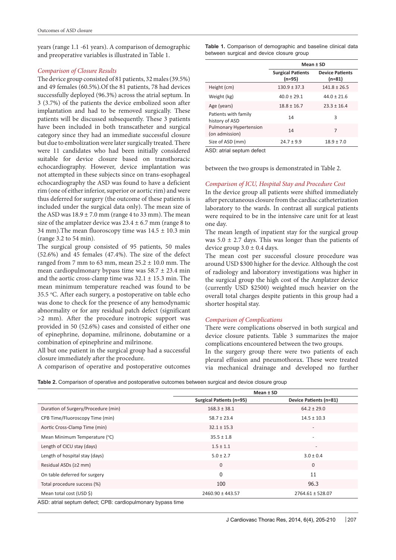years (range 1.1 -61 years). A comparison of demographic and preoperative variables is illustrated in Table 1.

# *Comparison of Closure Results*

The device group consisted of 81 patients, 32 males (39.5%) and 49 females (60.5%).Of the 81 patients, 78 had devices successfully deployed (96.3%) across the atrial septum. In 3 (3.7%) of the patients the device embolized soon after implantation and had to be removed surgically. These patients will be discussed subsequently. These 3 patients have been included in both transcatheter and surgical category since they had an immediate successful closure but due to embolization were later surgically treated. There were 11 candidates who had been initially considered suitable for device closure based on transthoracic echocardiography. However, device implantation was not attempted in these subjects since on trans-esophageal echocardiography the ASD was found to have a deficient rim (one of either inferior, superior or aortic rim) and were thus deferred for surgery (the outcome of these patients is included under the surgical data only). The mean size of the ASD was  $18.9 \pm 7.0$  mm (range 4 to 33 mm). The mean size of the amplatzer device was  $23.4 \pm 6.7$  mm (range 8 to 34 mm). The mean fluoroscopy time was  $14.5 \pm 10.3$  min (range 3.2 to 54 min).

The surgical group consisted of 95 patients, 50 males (52.6%) and 45 females (47.4%). The size of the defect ranged from 7 mm to 63 mm, mean  $25.2 \pm 10.0$  mm. The mean cardiopulmonary bypass time was  $58.7 \pm 23.4$  min and the aortic cross-clamp time was 32.1 ± 15.3 min. The mean minimum temperature reached was found to be 35.5 °C. After each surgery, a postoperative on table echo was done to check for the presence of any hemodynamic abnormality or for any residual patch defect (significant >2 mm). After the procedure inotropic support was provided in 50 (52.6%) cases and consisted of either one of epinephrine, dopamine, milrinone, dobutamine or a combination of epinephrine and milrinone.

All but one patient in the surgical group had a successful closure immediately after the procedure.

A comparison of operative and postoperative outcomes

**Table 1.** Comparison of demographic and baseline clinical data between surgical and device closure group

|                                                 | Mean ± SD                          |                                  |  |  |
|-------------------------------------------------|------------------------------------|----------------------------------|--|--|
|                                                 | <b>Surgical Patients</b><br>(n=95) | <b>Device Patients</b><br>(n=81) |  |  |
| Height (cm)                                     | $130.9 \pm 37.3$                   | $141.8 \pm 26.5$                 |  |  |
| Weight (kg)                                     | $40.0 \pm 29.1$                    | $44.0 \pm 21.6$                  |  |  |
| Age (years)                                     | $18.8 \pm 16.7$                    | $23.3 \pm 16.4$                  |  |  |
| Patients with family<br>history of ASD          | 14                                 | ξ                                |  |  |
| <b>Pulmonary Hypertension</b><br>(on admission) | 14                                 | 7                                |  |  |
| Size of ASD (mm)                                | $24.7 \pm 9.9$                     | $18.9 \pm 7.0$                   |  |  |

ASD: atrial septum defect

between the two groups is demonstrated in Table 2.

#### *Comparison of ICU, Hospital Stay and Procedure Cost*

In the device group all patients were shifted immediately after percutaneous closure from the cardiac catheterization laboratory to the wards. In contrast all surgical patients were required to be in the intensive care unit for at least one day.

The mean length of inpatient stay for the surgical group was  $5.0 \pm 2.7$  days. This was longer than the patients of device group  $3.0 \pm 0.4$  days.

The mean cost per successful closure procedure was around USD \$300 higher for the device. Although the cost of radiology and laboratory investigations was higher in the surgical group the high cost of the Amplatzer device (currently USD \$2500) weighted much heavier on the overall total charges despite patients in this group had a shorter hospital stay.

#### *Comparison of Complications*

There were complications observed in both surgical and device closure patients. Table 3 summarizes the major complications encountered between the two groups.

In the surgery group there were two patients of each pleural effusion and pneumothorax. These were treated via mechanical drainage and developed no further

|  |  |  |  | Table 2. Comparison of operative and postoperative outcomes between surgical and device closure group |  |  |  |
|--|--|--|--|-------------------------------------------------------------------------------------------------------|--|--|--|
|--|--|--|--|-------------------------------------------------------------------------------------------------------|--|--|--|

|                                     | Mean $±$ SD                     |                          |  |
|-------------------------------------|---------------------------------|--------------------------|--|
|                                     | <b>Surgical Patients (n=95)</b> | Device Patients (n=81)   |  |
| Duration of Surgery/Procedure (min) | $168.3 \pm 38.1$                | $64.2 \pm 29.0$          |  |
| CPB Time/Fluoroscopy Time (min)     | $58.7 \pm 23.4$                 | $14.5 \pm 10.3$          |  |
| Aortic Cross-Clamp Time (min)       | $32.1 \pm 15.3$                 | $\overline{\phantom{a}}$ |  |
| Mean Minimum Temperature (°C)       | $35.5 \pm 1.8$                  | $\overline{\phantom{a}}$ |  |
| Length of CICU stay (days)          | $1.5 \pm 1.1$                   | $\overline{\phantom{a}}$ |  |
| Length of hospital stay (days)      | $5.0 \pm 2.7$                   | $3.0 \pm 0.4$            |  |
| Residual ASDs (≥2 mm)               | $\Omega$                        | $\overline{0}$           |  |
| On table deferred for surgery       | $\Omega$                        | 11                       |  |
| Total procedure success (%)         | 100                             | 96.3                     |  |
| Mean total cost (USD \$)            | 2460.90 ± 443.57                | $2764.61 \pm 528.07$     |  |

ASD: atrial septum defect; CPB: cardiopulmonary bypass time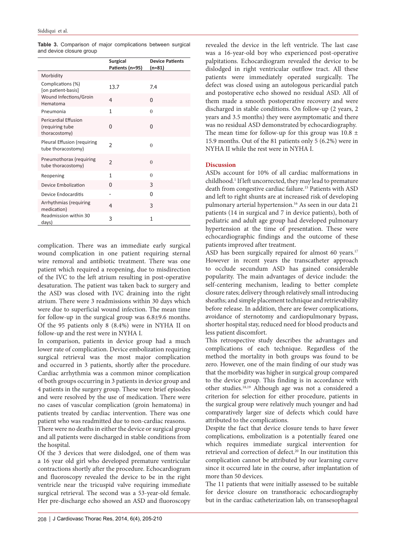|  |                          |  | Table 3. Comparison of major complications between surgical |  |
|--|--------------------------|--|-------------------------------------------------------------|--|
|  | and device closure group |  |                                                             |  |

|                                                          | <b>Surgical</b><br>Patients (n=95) | <b>Device Patients</b><br>(n=81) |
|----------------------------------------------------------|------------------------------------|----------------------------------|
| Morbidity                                                |                                    |                                  |
| Complications (%)<br>[on patient-basis]                  | 13.7                               | 7.4                              |
| Wound Infections/Groin<br>Hematoma                       | $\overline{4}$                     | 0                                |
| Pneumonia                                                | 1                                  | $\theta$                         |
| Pericardial Effusion<br>(requiring tube<br>thoracostomy) | 0                                  | 0                                |
| Pleural Effusion (requiring<br>tube thoracostomy)        | 2                                  | $\Omega$                         |
| Pneumothorax (requiring<br>tube thoracostomy)            | $\overline{\phantom{a}}$           | $\theta$                         |
| Reopening                                                | 1                                  | $\theta$                         |
| <b>Device Embolization</b>                               | <sup>0</sup>                       | 3                                |
| Device Endocarditis                                      |                                    | O                                |
| Arrhythmias (requiring<br>medication)                    | 4                                  | 3                                |
| Readmission within 30<br>days)                           | 3                                  | 1                                |

complication. There was an immediate early surgical wound complication in one patient requiring sternal wire removal and antibiotic treatment. There was one patient which required a reopening, due to misdirection of the IVC to the left atrium resulting in post-operative desaturation. The patient was taken back to surgery and the ASD was closed with IVC draining into the right atrium. There were 3 readmissions within 30 days which were due to superficial wound infection. The mean time for follow-up in the surgical group was 6.8±9.6 months. Of the 95 patients only 8 (8.4%) were in NYHA II on follow-up and the rest were in NYHA I.

In comparison, patients in device group had a much lower rate of complication. Device embolization requiring surgical retrieval was the most major complication and occurred in 3 patients, shortly after the procedure. Cardiac arrhythmia was a common minor complication of both groups occurring in 3 patients in device group and 4 patients in the surgery group. These were brief episodes and were resolved by the use of medication. There were no cases of vascular complication (groin hematoma) in patients treated by cardiac intervention. There was one patient who was readmitted due to non-cardiac reasons.

There were no deaths in either the device or surgical group and all patients were discharged in stable conditions from the hospital.

Of the 3 devices that were dislodged, one of them was a 16 year old girl who developed premature ventricular contractions shortly after the procedure. Echocardiogram and fluoroscopy revealed the device to be in the right ventricle near the tricuspid valve requiring immediate surgical retrieval. The second was a 53-year-old female. Her pre-discharge echo showed an ASD and fluoroscopy

revealed the device in the left ventricle. The last case was a 16-year-old boy who experienced post-operative palpitations. Echocardiogram revealed the device to be dislodged in right ventricular outflow tract. All these patients were immediately operated surgically. The defect was closed using an autologous pericardial patch and postoperative echo showed no residual ASD. All of them made a smooth postoperative recovery and were discharged in stable conditions. On follow-up (2 years, 2 years and 3.5 months) they were asymptomatic and there was no residual ASD demonstrated by echocardiography. The mean time for follow-up for this group was  $10.8 \pm$ 15.9 months. Out of the 81 patients only 5 (6.2%) were in NYHA II while the rest were in NYHA I.

# **Discussion**

ASDs account for 10% of all cardiac malformations in childhood.1 If left uncorrected, they may lead to premature death from congestive cardiac failure.15 Patients with ASD and left to right shunts are at increased risk of developing pulmonary arterial hypertension.<sup>16</sup> As seen in our data 21 patients (14 in surgical and 7 in device patients), both of pediatric and adult age group had developed pulmonary hypertension at the time of presentation. These were echocardiographic findings and the outcome of these patients improved after treatment.

ASD has been surgically repaired for almost 60 years.<sup>17</sup> However in recent years the transcatheter approach to occlude secundum ASD has gained considerable popularity. The main advantages of device include: the self-centering mechanism, leading to better complete closure rates; delivery through relatively small introducing sheaths; and simple placement technique and retrievability before release. In addition, there are fewer complications, avoidance of sternotomy and cardiopulmonary bypass, shorter hospital stay, reduced need for blood products and less patient discomfort.

This retrospective study describes the advantages and complications of each technique. Regardless of the method the mortality in both groups was found to be zero. However, one of the main finding of our study was that the morbidity was higher in surgical group compared to the device group. This finding is in accordance with other studies.18,19 Although age was not a considered a criterion for selection for either procedure, patients in the surgical group were relatively much younger and had comparatively larger size of defects which could have attributed to the complications.

Despite the fact that device closure tends to have fewer complications, embolization is a potentially feared one which requires immediate surgical intervention for retrieval and correction of defect.<sup>20</sup> In our institution this complication cannot be attributed by our learning curve since it occurred late in the course, after implantation of more than 50 devices.

The 11 patients that were initially assessed to be suitable for device closure on transthoracic echocardiography but in the cardiac catheterization lab, on transesophageal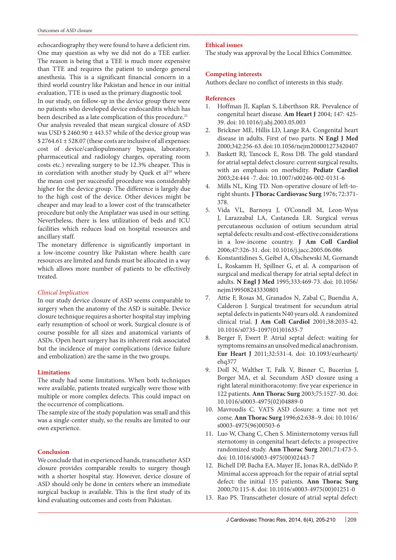echocardiography they were found to have a deficient rim. One may question as why we did not do a TEE earlier. The reason is being that a TEE is much more expensive than TTE and requires the patient to undergo general anesthesia. This is a significant financial concern in a third world country like Pakistan and hence in our initial evaluation, TTE is used as the primary diagnostic tool.

In our study, on follow-up in the device group there were no patients who developed device endocarditis which has been described as a late complication of this procedure.<sup>21</sup>

Our analysis revealed that mean surgical closure of ASD was USD  $$2460.90 \pm 443.57$  while of the device group was \$ 2764.61 ± 528.07 (these costs are inclusive of all expenses: cost of device/cardiopulmonary bypass, laboratory, pharmaceutical and radiology charges, operating room costs etc.) revealing surgery to be 12.3% cheaper. This is in correlation with another study by Quek et  $al<sup>24</sup>$  where the mean cost per successful procedure was considerably higher for the device group. The difference is largely due to the high cost of the device. Other devices might be cheaper and may lead to a lower cost of the transcatheter procedure but only the Amplatzer was used in our setting. Nevertheless, there is less utilization of beds and ICU facilities which reduces load on hospital resources and ancillary staff.

The monetary difference is significantly important in a low-income country like Pakistan where health care resources are limited and funds must be allocated in a way which allows more number of patients to be effectively treated.

#### *Clinical Implication*

In our study device closure of ASD seems comparable to surgery when the anatomy of the ASD is suitable. Device closure technique requires a shorter hospital stay implying early resumption of school or work. Surgical closure is of course possible for all sizes and anatomical variants of ASDs. Open heart surgery has its inherent risk associated but the incidence of major complications (device failure and embolization) are the same in the two groups.

#### **Limitations**

The study had some limitations. When both techniques were available, patients treated surgically were those with multiple or more complex defects. This could impact on the occurrence of complications.

The sample size of the study population was small and this was a single-center study, so the results are limited to our own experience.

#### **Conclusion**

We conclude that in experienced hands, transcatheter ASD closure provides comparable results to surgery though with a shorter hospital stay. However, device closure of ASD should only be done in centers where an immediate surgical backup is available. This is the first study of its kind evaluating outcomes and costs from Pakistan.

## **Ethical issues**

The study was approval by the Local Ethics Committee.

#### **Competing interests**

Authors declare no conflict of interests in this study.

# **References**

- 1. Hoffman JI, Kaplan S, Liberthson RR. Prevalence of congenital heart disease. **Am Heart J** 2004; 147: 425- 39. doi: 10.1016/j.ahj.2003.05.003
- 2. Brickner ME, Hillis LD, Lange RA. Congenital heart disease in adults. First of two parts. **N Engl J Med**  2000;342:256-63. doi: 10.1056/nejm200001273420407
- 3. Baskett RJ, Tancock E, Ross DB. The gold standard for atrial septal defect closure: current surgical results, with an emphasis on morbidity. **Pediatr Cardiol**  2003;24:444 -7. doi: 10.1007/s00246-002-0131-6
- Mills NL, King TD. Non-operative closure of left-toright shunts. **J Thorac Cardiovasc Surg** 1976; 72:371- 378.
- 5. Vida VL, Barnoya J, O'Connell M, Leon-Wyss J, Larazzabal LA, Castaneda LR. Surgical versus percutaneous occlusion of ostium secundum atrial septal defects: results and cost-effective considerations in a low-income country. **J Am Coll Cardiol**  2006;47:326-31. doi: 10.1016/j.jacc.2005.06.086
- 6. Konstantidines S, Geibel A, Olschewski M, Gornandt L, Roskamm H, Spillner G, et al. A comparison of surgical and medical therapy for atrial septal defect in adults. **N Engl J Med** 1995;333:469-73. doi: 10.1056/ nejm199508243330801
- 7. Attie F, Rosas M, Granados N, Zabal C, Buendia A, Calderon J. Surgical treatment for secundum atrial septal defects in patients N40 years old. A randomized clinical trial. **J Am Coll Cardiol** 2001;38:2035-42. 10.1016/s0735-1097(01)01635-7
- 8. Berger F, Ewert P. Atrial septal defect: waiting for symptoms remains an unsolved medical anachronism. **Eur Heart J** 2011;32:531-4. doi: 10.1093/eurheartj/ ehq377
- 9. Doll N, Walther T, Falk V, Binner C, Bucerius J, Borger MA, et al. Secundum ASD closure using a right lateral minithoracotomy: five year experience in 122 patients. **Ann Thorac Surg** 2003;75:1527-30. doi: 10.1016/s0003-4975(02)04889-0
- 10. Mavroudis C. VATS ASD closure: a time not yet come. **Ann Thorac Surg** 1996;62:638–9. doi: 10.1016/ s0003-4975(96)00503-6
- 11. Luo W, Chang C, Chen S. Ministernotomy versus full sternotomy in congenital heart defects: a prospective randomized study. **Ann Thorac Surg** 2001;71:473-5. doi: 10.1016/s0003-4975(00)02443-7
- 12. Bichell DP, Bacha EA, Mayer JE, Jonas RA, delNido P. Minimal access approach for the repair of atrial septal defect: the initial 135 patients. **Ann Thorac Surg**  2000;70:115-8. doi: 10.1016/s0003-4975(00)01251-0
- 13. Rao PS. Transcatheter closure of atrial septal defect: